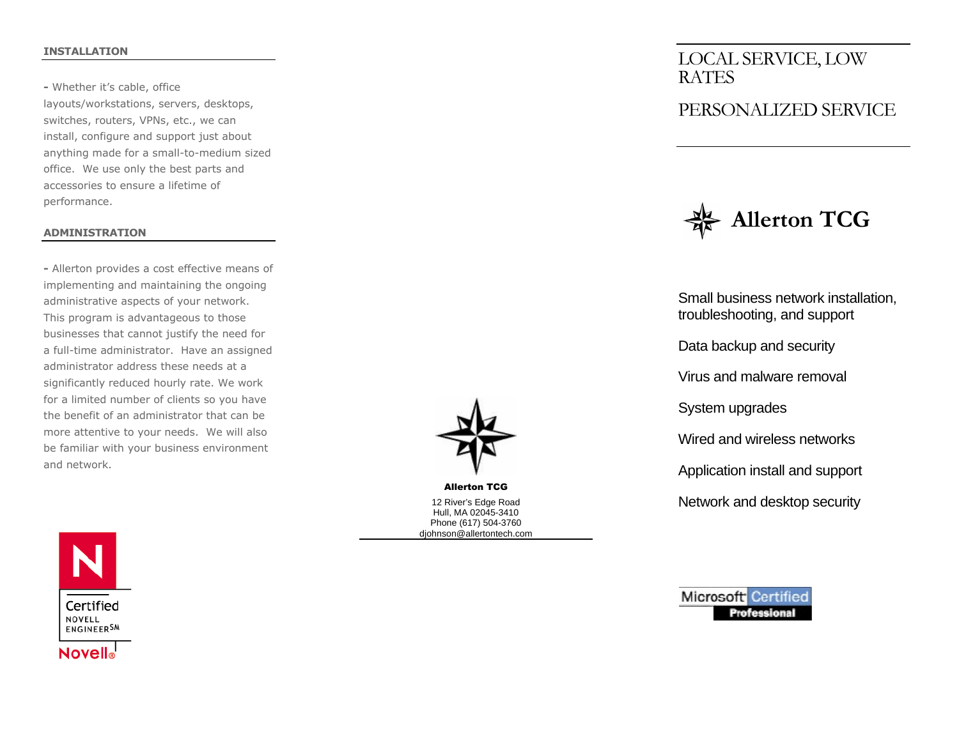#### INSTALLATION

- Whether it's cable, office layouts/workstations, servers, desktops, switches, routers, VPNs, etc., we can install, configure and support just about anything made for a small-to-medium sized office. We use only the best parts and accessories to ensure a lifetime of performance.

#### ADMINISTRATION

- Allerton provides a cost effective means of implementing and maintaining the ongoing administrative aspects of your network. This program is advantageous to those businesses that cannot justify the need for a full-time administrator. Have an assigned administrator address these needs at a significantly reduced hourly rate. We work for a limited number of clients so you have the benefit of an administrator that can be more attentive to your needs. We will also be familiar with your business environment and network.



Allerton TCG 12 River's Edge Road Hull, MA 02045-3410 Phone (617) 504-3760 djohnson@allertontech.com LOCAL SERVICE, LOW RATES

# PERSONALIZED SERVICE



Small business network installation, troubleshooting, and support

Data backup and security

Virus and malware removal

System upgrades

Wired and wireless networks

Application install and support

Network and desktop security



**Microsoft Certified Professional**